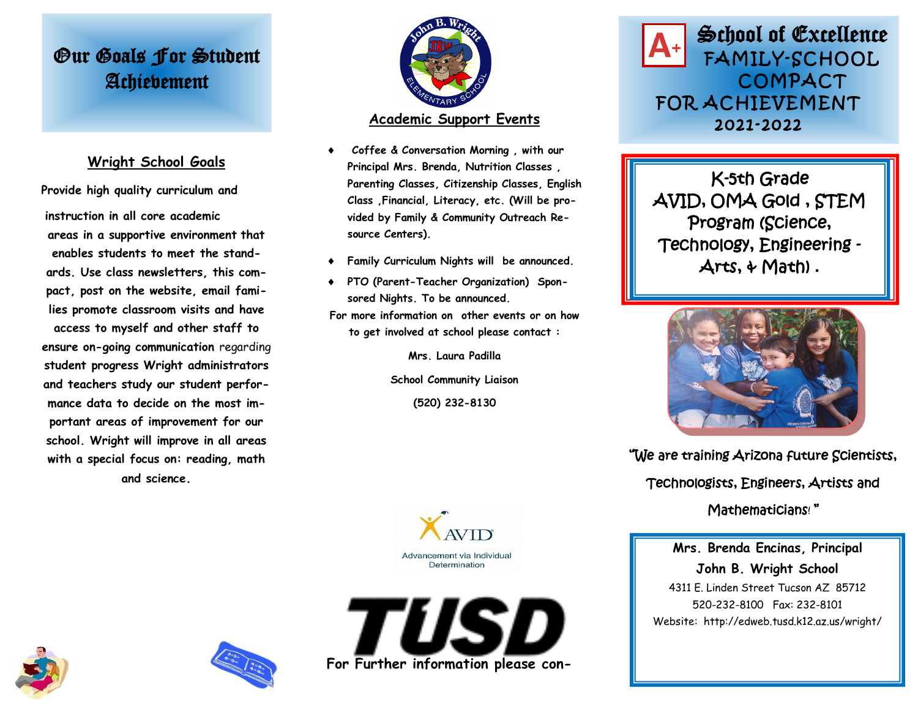### Our Goals For Student Achievement

#### **Wright School Goals**

**Provide high quality curriculum and instruction in all core academic areas in a supportive environment that enables students to meet the standards. Use class newsletters, this compact, post on the website, email families promote classroom visits and have access to myself and other staff to ensure on-going communication** regarding **student progress Wright administrators and teachers study our student performance data to decide on the most important areas of improvement for our school. Wright will improve in all areas with a special focus on: reading, math and science.**



- **Coffee & Conversation Morning , with our Principal Mrs. Brenda, Nutrition Classes , Parenting Classes, Citizenship Classes, English Class ,Financial, Literacy, etc. (Will be provided by Family & Community Outreach Resource Centers).**
- **Family Curriculum Nights will be announced.**
- **PTO (Parent-Teacher Organization) Sponsored Nights. To be announced.**

**For more information on other events or on how to get involved at school please contact :**

**Mrs. Laura Padilla**

**School Community Liaison**

**(520) 232-8130**

Advancement via Individual Determination









K-5th Grade AVID, OMA Gold , STEM Program (Science, Technology, Engineering -  $Arts, \psi$  Math).



"We are training Arizona future Scientists,

Technologists, Engineers, Artists and

Mathematicians!"

**Mrs. Brenda Encinas, Principal John B. Wright School** 4311 E. Linden Street Tucson AZ 85712 520-232-8100 Fax: 232-8101 Website: http://edweb.tusd.k12.az.us/wright/